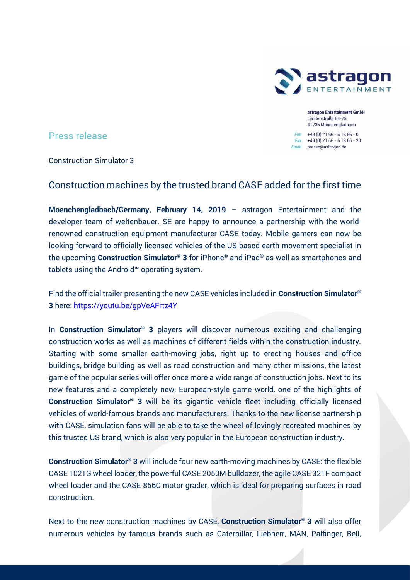

astragon Entertainment GmbH Limitenstraße 64-78 41236 Mönchengladbach

Fon  $+49(0)$  21 66 - 6 18 66 - 0 Fax +49 (0) 21 66 - 6 18 66 - 20 Email presse@astragon.de

# Press release

## Construction Simulator 3

# Construction machines by the trusted brand CASE added for the first time

**Moenchengladbach/Germany, February 14, 2019** – astragon Entertainment and the developer team of weltenbauer. SE are happy to announce a partnership with the worldrenowned construction equipment manufacturer CASE today. Mobile gamers can now be looking forward to officially licensed vehicles of the US-based earth movement specialist in the upcoming **Construction Simulator® 3** for iPhone® and iPad® as well as smartphones and tablets using the Android™ operating system.

Find the official trailer presenting the new CASE vehicles included in **Construction Simulator® 3** here: <https://youtu.be/gpVeAFrtz4Y>

In **Construction Simulator® 3** players will discover numerous exciting and challenging construction works as well as machines of different fields within the construction industry. Starting with some smaller earth-moving jobs, right up to erecting houses and office buildings, bridge building as well as road construction and many other missions, the latest game of the popular series will offer once more a wide range of construction jobs. Next to its new features and a completely new, European-style game world, one of the highlights of **Construction Simulator® 3** will be its gigantic vehicle fleet including officially licensed vehicles of world-famous brands and manufacturers. Thanks to the new license partnership with CASE, simulation fans will be able to take the wheel of lovingly recreated machines by this trusted US brand, which is also very popular in the European construction industry.

**Construction Simulator® 3** will include four new earth-moving machines by CASE: the flexible CASE 1021G wheel loader, the powerful CASE 2050M bulldozer, the agile CASE 321F compact wheel loader and the CASE 856C motor grader, which is ideal for preparing surfaces in road construction.

Next to the new construction machines by CASE, **Construction Simulator® 3** will also offer numerous vehicles by famous brands such as Caterpillar, Liebherr, MAN, Palfinger, Bell,